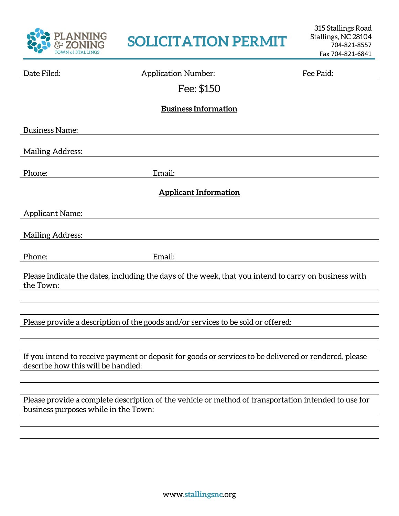

## **SOLICITATION PERMIT**

| Date Filed:                                                                                                                                  | <b>Application Number:</b> | Fee Paid: |  |  |
|----------------------------------------------------------------------------------------------------------------------------------------------|----------------------------|-----------|--|--|
|                                                                                                                                              | Fee: \$150                 |           |  |  |
| <b>Business Information</b>                                                                                                                  |                            |           |  |  |
|                                                                                                                                              |                            |           |  |  |
| <b>Business Name:</b>                                                                                                                        |                            |           |  |  |
| <b>Mailing Address:</b>                                                                                                                      |                            |           |  |  |
| Phone:                                                                                                                                       | Email:                     |           |  |  |
| <b>Applicant Information</b>                                                                                                                 |                            |           |  |  |
| <b>Applicant Name:</b>                                                                                                                       |                            |           |  |  |
| <b>Mailing Address:</b>                                                                                                                      |                            |           |  |  |
| Phone:                                                                                                                                       | Email:                     |           |  |  |
| Please indicate the dates, including the days of the week, that you intend to carry on business with<br>the Town:                            |                            |           |  |  |
|                                                                                                                                              |                            |           |  |  |
| Please provide a description of the goods and/or services to be sold or offered:                                                             |                            |           |  |  |
|                                                                                                                                              |                            |           |  |  |
| If you intend to receive payment or deposit for goods or services to be delivered or rendered, please<br>describe how this will be handled:  |                            |           |  |  |
|                                                                                                                                              |                            |           |  |  |
| Please provide a complete description of the vehicle or method of transportation intended to use for<br>business purposes while in the Town: |                            |           |  |  |
|                                                                                                                                              |                            |           |  |  |
|                                                                                                                                              |                            |           |  |  |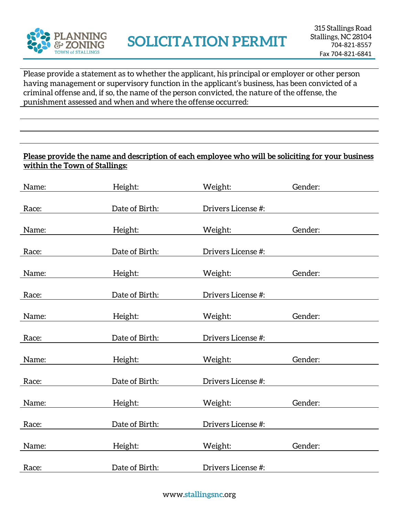

Please provide a statement as to whether the applicant, his principal or employer or other person having management or supervisory function in the applicant's business, has been convicted of a criminal offense and, if so, the name of the person convicted, the nature of the offense, the punishment assessed and when and where the offense occurred:

## **Please provide the name and description of each employee who will be soliciting for your business within the Town of Stallings:**

| Name: | Height:        | Weight:            | Gender: |
|-------|----------------|--------------------|---------|
| Race: | Date of Birth: | Drivers License #: |         |
| Name: | Height:        | Weight:            | Gender: |
| Race: | Date of Birth: | Drivers License #: |         |
| Name: | Height:        | Weight:            | Gender: |
| Race: | Date of Birth: | Drivers License #: |         |
| Name: | Height:        | Weight:            | Gender: |
| Race: | Date of Birth: | Drivers License #: |         |
| Name: | Height:        | Weight:            | Gender: |
| Race: | Date of Birth: | Drivers License #: |         |
| Name: | Height:        | Weight:            | Gender: |
| Race: | Date of Birth: | Drivers License #: |         |
| Name: | Height:        | Weight:            | Gender: |
| Race: | Date of Birth: | Drivers License #: |         |